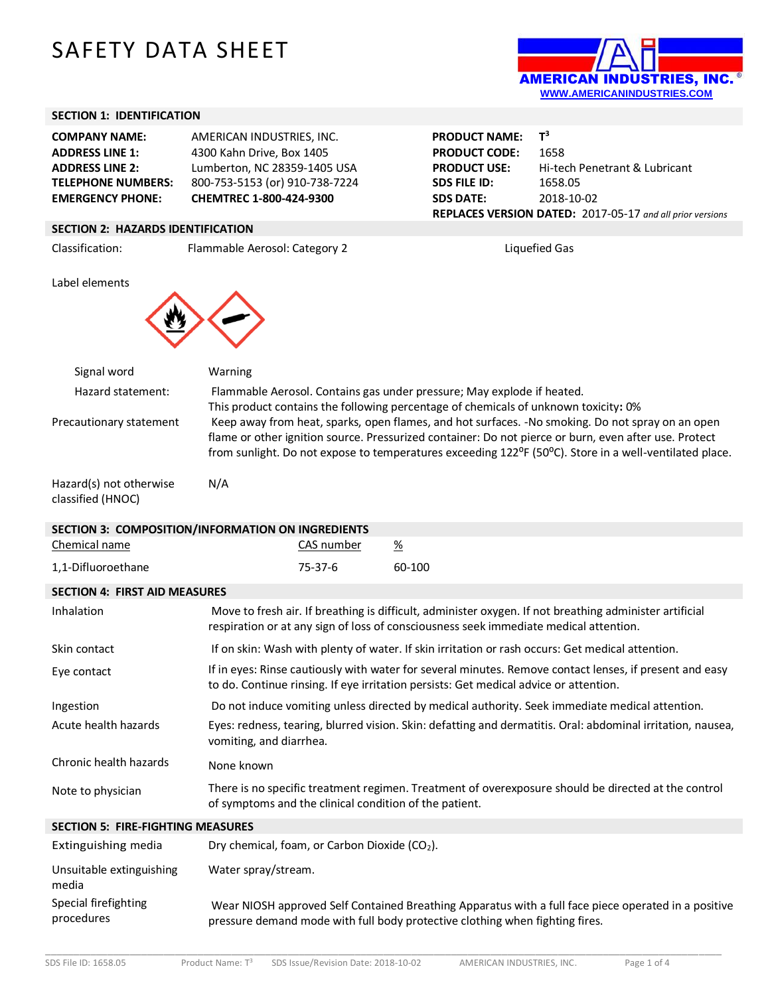# SAFETY DATA SHEET



**Hi-tech Penetrant & Lubricant** 

**REPLACES VERSION DATED:** 2017-05-17 *and all prior versions*

## **SECTION 1: IDENTIFICATION**

| <b>COMPANY NAME:</b>      | AMERICAN INDUSTRIES. INC.      |
|---------------------------|--------------------------------|
| <b>ADDRESS LINE 1:</b>    | 4300 Kahn Drive, Box 1405      |
| <b>ADDRESS LINE 2:</b>    | Lumberton, NC 28359-1405 USA   |
| <b>TELEPHONE NUMBERS:</b> | 800-753-5153 (or) 910-738-7224 |
| <b>EMERGENCY PHONE:</b>   | CHEMTREC 1-800-424-9300        |

#### **SECTION 2: HAZARDS IDENTIFICATION**

Classification: Flammable Aerosol: Category 2 Liquefied Gas

Label elements



| Signal word                                  | Warning                                                                                                                                                                                                                                                                                                                                       |
|----------------------------------------------|-----------------------------------------------------------------------------------------------------------------------------------------------------------------------------------------------------------------------------------------------------------------------------------------------------------------------------------------------|
| Hazard statement:                            | Flammable Aerosol. Contains gas under pressure; May explode if heated.                                                                                                                                                                                                                                                                        |
|                                              | This product contains the following percentage of chemicals of unknown toxicity: 0%                                                                                                                                                                                                                                                           |
| Precautionary statement                      | Keep away from heat, sparks, open flames, and hot surfaces. -No smoking. Do not spray on an open<br>flame or other ignition source. Pressurized container: Do not pierce or burn, even after use. Protect<br>from sunlight. Do not expose to temperatures exceeding 122 <sup>o</sup> F (50 <sup>o</sup> C). Store in a well-ventilated place. |
| Hazard(s) not otherwise<br>classified (HNOC) | N/A                                                                                                                                                                                                                                                                                                                                           |
|                                              | SECTION 3: COMPOSITION/INFORMATION ON INGREDIENTS                                                                                                                                                                                                                                                                                             |

**PRODUCT NAME:** 

**PRODUCT CODE:** 1658<br>**PRODUCT USE:** Hi-ter

**SDS FILE ID:** 1658.05 **SDS DATE:** 2018-10-02

 $T^3$ 

| <u>JECHION J. CONIFOJHION JINI ONIVIATION ON INGNEDIENTJ</u> |                         |                                                        |                                                                                                                                                                                                  |
|--------------------------------------------------------------|-------------------------|--------------------------------------------------------|--------------------------------------------------------------------------------------------------------------------------------------------------------------------------------------------------|
| Chemical name                                                |                         | CAS number                                             | $\frac{\%}{\%}$                                                                                                                                                                                  |
| 1,1-Difluoroethane                                           |                         | 75-37-6                                                | 60-100                                                                                                                                                                                           |
| <b>SECTION 4: FIRST AID MEASURES</b>                         |                         |                                                        |                                                                                                                                                                                                  |
| <b>Inhalation</b>                                            |                         |                                                        | Move to fresh air. If breathing is difficult, administer oxygen. If not breathing administer artificial<br>respiration or at any sign of loss of consciousness seek immediate medical attention. |
| Skin contact                                                 |                         |                                                        | If on skin: Wash with plenty of water. If skin irritation or rash occurs: Get medical attention.                                                                                                 |
| Eye contact                                                  |                         |                                                        | If in eyes: Rinse cautiously with water for several minutes. Remove contact lenses, if present and easy<br>to do. Continue rinsing. If eye irritation persists: Get medical advice or attention. |
| Ingestion                                                    |                         |                                                        | Do not induce vomiting unless directed by medical authority. Seek immediate medical attention.                                                                                                   |
| Acute health hazards                                         | vomiting, and diarrhea. |                                                        | Eyes: redness, tearing, blurred vision. Skin: defatting and dermatitis. Oral: abdominal irritation, nausea,                                                                                      |
| Chronic health hazards                                       | None known              |                                                        |                                                                                                                                                                                                  |
| Note to physician                                            |                         | of symptoms and the clinical condition of the patient. | There is no specific treatment regimen. Treatment of overexposure should be directed at the control                                                                                              |
| <b>SECTION 5: FIRE-FIGHTING MEASURES</b>                     |                         |                                                        |                                                                                                                                                                                                  |

| Extinguishing media                | Dry chemical, foam, or Carbon Dioxide (CO <sub>2</sub> ).                                                                                                                            |
|------------------------------------|--------------------------------------------------------------------------------------------------------------------------------------------------------------------------------------|
| Unsuitable extinguishing<br>media  | Water spray/stream.                                                                                                                                                                  |
| Special firefighting<br>procedures | Wear NIOSH approved Self Contained Breathing Apparatus with a full face piece operated in a positive<br>pressure demand mode with full body protective clothing when fighting fires. |

\_\_\_\_\_\_\_\_\_\_\_\_\_\_\_\_\_\_\_\_\_\_\_\_\_\_\_\_\_\_\_\_\_\_\_\_\_\_\_\_\_\_\_\_\_\_\_\_\_\_\_\_\_\_\_\_\_\_\_\_\_\_\_\_\_\_\_\_\_\_\_\_\_\_\_\_\_\_\_\_\_\_\_\_\_\_\_\_\_\_\_\_\_\_\_\_\_\_\_\_\_\_\_\_\_\_\_\_\_\_\_\_\_\_\_\_\_\_\_\_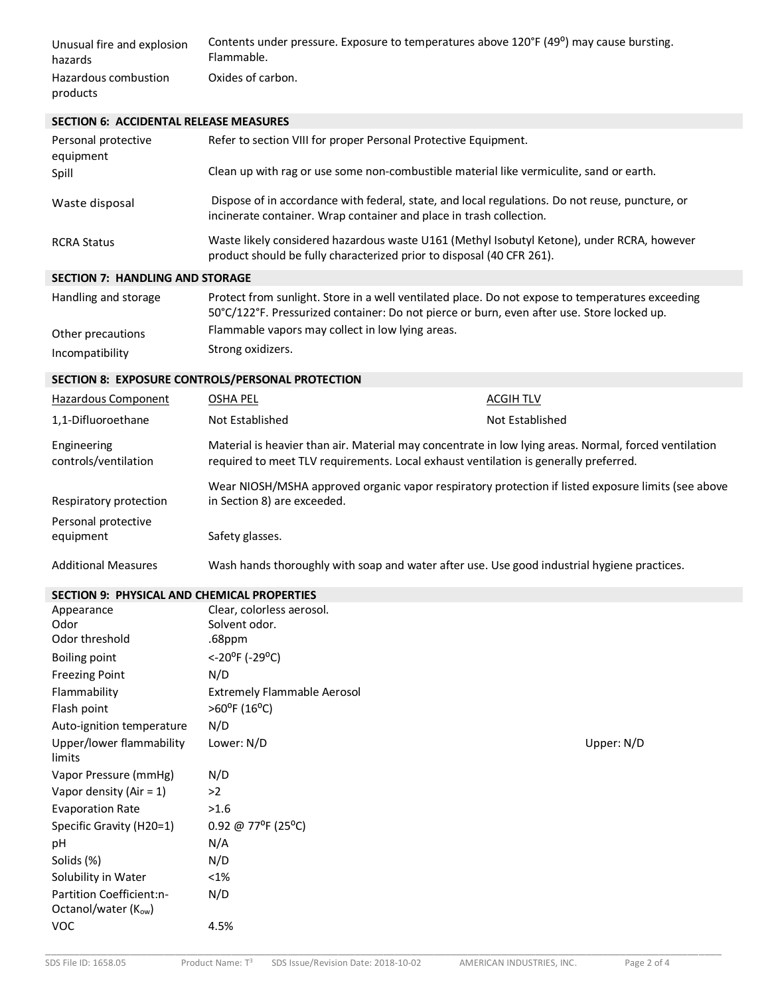| Unusual fire and explosion       | Contents under pressure. Exposure to temperatures above 120°F (49°) may cause bursting. |
|----------------------------------|-----------------------------------------------------------------------------------------|
| hazards                          | Flammable.                                                                              |
| Hazardous combustion<br>products | Oxides of carbon.                                                                       |

## **SECTION 6: ACCIDENTAL RELEASE MEASURES**

| Refer to section VIII for proper Personal Protective Equipment.<br>Clean up with rag or use some non-combustible material like vermiculite, sand or earth.             |
|------------------------------------------------------------------------------------------------------------------------------------------------------------------------|
| Dispose of in accordance with federal, state, and local regulations. Do not reuse, puncture, or<br>incinerate container. Wrap container and place in trash collection. |
| Waste likely considered hazardous waste U161 (Methyl Isobutyl Ketone), under RCRA, however<br>product should be fully characterized prior to disposal (40 CFR 261).    |
|                                                                                                                                                                        |

## **SECTION 7: HANDLING AND STORAGE**

| Handling and storage | Protect from sunlight. Store in a well ventilated place. Do not expose to temperatures exceeding<br>50°C/122°F. Pressurized container: Do not pierce or burn, even after use. Store locked up. |
|----------------------|------------------------------------------------------------------------------------------------------------------------------------------------------------------------------------------------|
| Other precautions    | Flammable vapors may collect in low lying areas.                                                                                                                                               |
| Incompatibility      | Strong oxidizers.                                                                                                                                                                              |

## **SECTION 8: EXPOSURE CONTROLS/PERSONAL PROTECTION**

| Hazardous Component                 | OSHA PEL                                                                                                                                                                                      | <b>ACGIH TLV</b> |
|-------------------------------------|-----------------------------------------------------------------------------------------------------------------------------------------------------------------------------------------------|------------------|
| 1,1-Difluoroethane                  | Not Established                                                                                                                                                                               | Not Established  |
| Engineering<br>controls/ventilation | Material is heavier than air. Material may concentrate in low lying areas. Normal, forced ventilation<br>required to meet TLV requirements. Local exhaust ventilation is generally preferred. |                  |
| Respiratory protection              | Wear NIOSH/MSHA approved organic vapor respiratory protection if listed exposure limits (see above<br>in Section 8) are exceeded.                                                             |                  |
| Personal protective<br>equipment    | Safety glasses.                                                                                                                                                                               |                  |
| <b>Additional Measures</b>          | Wash hands thoroughly with soap and water after use. Use good industrial hygiene practices.                                                                                                   |                  |

# **SECTION 9: PHYSICAL AND CHEMICAL PROPERTIES**

| Appearance                                      | Clear, colorless aerosol.          |            |
|-------------------------------------------------|------------------------------------|------------|
| Odor                                            | Solvent odor.                      |            |
| Odor threshold                                  | .68ppm                             |            |
| <b>Boiling point</b>                            | <-20°F (-29°C)                     |            |
| <b>Freezing Point</b>                           | N/D                                |            |
| Flammability                                    | <b>Extremely Flammable Aerosol</b> |            |
| Flash point                                     | $>60^{\circ}$ F (16°C)             |            |
| Auto-ignition temperature                       | N/D                                |            |
| Upper/lower flammability<br>limits              | Lower: N/D                         | Upper: N/D |
| Vapor Pressure (mmHg)                           | N/D                                |            |
| Vapor density (Air = $1$ )                      | >2                                 |            |
| <b>Evaporation Rate</b>                         | >1.6                               |            |
| Specific Gravity (H20=1)                        | 0.92 @ 77°F (25°C)                 |            |
| pH                                              | N/A                                |            |
| Solids (%)                                      | N/D                                |            |
| Solubility in Water                             | $< 1\%$                            |            |
| Partition Coefficient:n-<br>Octanol/water (Kow) | N/D                                |            |
| <b>VOC</b>                                      | 4.5%                               |            |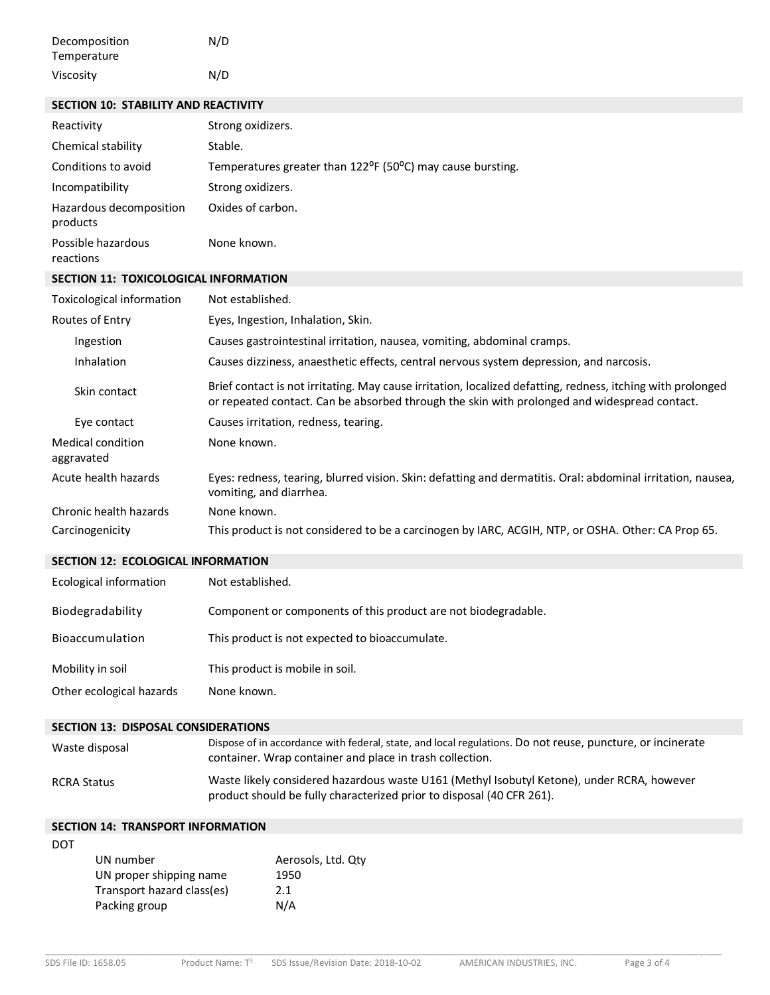| Decomposition | N/D |
|---------------|-----|
| Temperature   |     |
| Viscosity     | N/D |

## **SECTION 10: STABILITY AND REACTIVITY**

| Reactivity                             | Strong oxidizers.                                                                                                                                                                                           |
|----------------------------------------|-------------------------------------------------------------------------------------------------------------------------------------------------------------------------------------------------------------|
| Chemical stability                     | Stable.                                                                                                                                                                                                     |
| Conditions to avoid                    | Temperatures greater than 122°F (50°C) may cause bursting.                                                                                                                                                  |
| Incompatibility                        | Strong oxidizers.                                                                                                                                                                                           |
| Hazardous decomposition<br>products    | Oxides of carbon.                                                                                                                                                                                           |
| Possible hazardous<br>reactions        | None known.                                                                                                                                                                                                 |
| SECTION 11: TOXICOLOGICAL INFORMATION  |                                                                                                                                                                                                             |
| <b>Toxicological information</b>       | Not established.                                                                                                                                                                                            |
| Routes of Entry                        | Eyes, Ingestion, Inhalation, Skin.                                                                                                                                                                          |
| Ingestion                              | Causes gastrointestinal irritation, nausea, vomiting, abdominal cramps.                                                                                                                                     |
| Inhalation                             | Causes dizziness, anaesthetic effects, central nervous system depression, and narcosis.                                                                                                                     |
| Skin contact                           | Brief contact is not irritating. May cause irritation, localized defatting, redness, itching with prolonged<br>or repeated contact. Can be absorbed through the skin with prolonged and widespread contact. |
| Eye contact                            | Causes irritation, redness, tearing.                                                                                                                                                                        |
| <b>Medical condition</b><br>aggravated | None known.                                                                                                                                                                                                 |
| Acute health hazards                   | Eyes: redness, tearing, blurred vision. Skin: defatting and dermatitis. Oral: abdominal irritation, nausea,<br>vomiting, and diarrhea.                                                                      |
| Chronic health hazards                 | None known.                                                                                                                                                                                                 |
| Carcinogenicity                        | This product is not considered to be a carcinogen by IARC, ACGIH, NTP, or OSHA. Other: CA Prop 65.                                                                                                          |

## **SECTION 12: ECOLOGICAL INFORMATION**

| Ecological information   | Not established.                                               |
|--------------------------|----------------------------------------------------------------|
| Biodegradability         | Component or components of this product are not biodegradable. |
| Bioaccumulation          | This product is not expected to bioaccumulate.                 |
| Mobility in soil         | This product is mobile in soil.                                |
| Other ecological hazards | None known.                                                    |

#### **SECTION 13: DISPOSAL CONSIDERATIONS**

| Waste disposal     | Dispose of in accordance with federal, state, and local regulations. Do not reuse, puncture, or incinerate<br>container. Wrap container and place in trash collection. |
|--------------------|------------------------------------------------------------------------------------------------------------------------------------------------------------------------|
| <b>RCRA Status</b> | Waste likely considered hazardous waste U161 (Methyl Isobutyl Ketone), under RCRA, however<br>product should be fully characterized prior to disposal (40 CFR 261).    |

|  |  | <b>SECTION 14: TRANSPORT INFORMATION</b> |
|--|--|------------------------------------------|
|--|--|------------------------------------------|

DOT

| UN number                  | Aerosols, Ltd. Qtv |
|----------------------------|--------------------|
| UN proper shipping name    | 1950               |
| Transport hazard class(es) | 2.1                |
| Packing group              | N/A                |
|                            |                    |